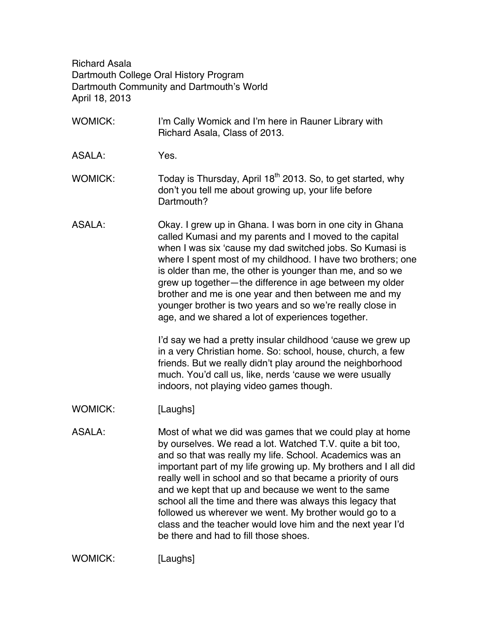Richard Asala Dartmouth College Oral History Program Dartmouth Community and Dartmouth's World April 18, 2013

- WOMICK: I'm Cally Womick and I'm here in Rauner Library with Richard Asala, Class of 2013.
- ASALA: Yes.
- WOMICK: Today is Thursday, April  $18<sup>th</sup>$  2013. So, to get started, why don't you tell me about growing up, your life before Dartmouth?
- ASALA: Okay. I grew up in Ghana. I was born in one city in Ghana called Kumasi and my parents and I moved to the capital when I was six 'cause my dad switched jobs. So Kumasi is where I spent most of my childhood. I have two brothers; one is older than me, the other is younger than me, and so we grew up together—the difference in age between my older brother and me is one year and then between me and my younger brother is two years and so we're really close in age, and we shared a lot of experiences together.

I'd say we had a pretty insular childhood 'cause we grew up in a very Christian home. So: school, house, church, a few friends. But we really didn't play around the neighborhood much. You'd call us, like, nerds 'cause we were usually indoors, not playing video games though.

- WOMICK: [Laughs]
- ASALA: Most of what we did was games that we could play at home by ourselves. We read a lot. Watched T.V. quite a bit too, and so that was really my life. School. Academics was an important part of my life growing up. My brothers and I all did really well in school and so that became a priority of ours and we kept that up and because we went to the same school all the time and there was always this legacy that followed us wherever we went. My brother would go to a class and the teacher would love him and the next year I'd be there and had to fill those shoes.

WOMICK: [Laughs]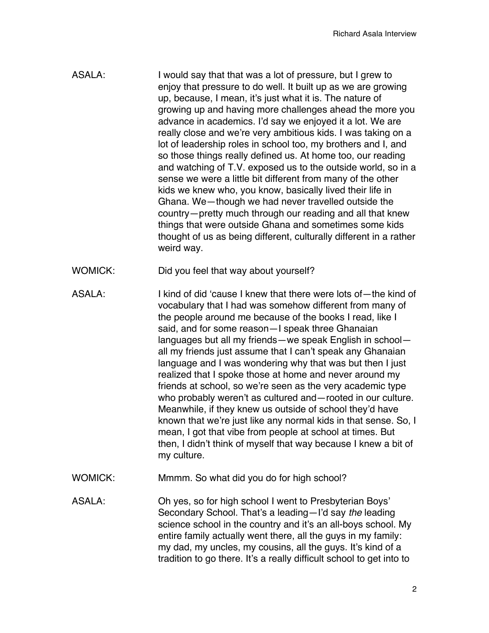- ASALA: I would say that that was a lot of pressure, but I grew to enjoy that pressure to do well. It built up as we are growing up, because, I mean, it's just what it is. The nature of growing up and having more challenges ahead the more you advance in academics. I'd say we enjoyed it a lot. We are really close and we're very ambitious kids. I was taking on a lot of leadership roles in school too, my brothers and I, and so those things really defined us. At home too, our reading and watching of T.V. exposed us to the outside world, so in a sense we were a little bit different from many of the other kids we knew who, you know, basically lived their life in Ghana. We—though we had never travelled outside the country—pretty much through our reading and all that knew things that were outside Ghana and sometimes some kids thought of us as being different, culturally different in a rather weird way.
- WOMICK: Did you feel that way about yourself?
- ASALA: I kind of did 'cause I knew that there were lots of—the kind of vocabulary that I had was somehow different from many of the people around me because of the books I read, like I said, and for some reason—I speak three Ghanaian languages but all my friends—we speak English in school all my friends just assume that I can't speak any Ghanaian language and I was wondering why that was but then I just realized that I spoke those at home and never around my friends at school, so we're seen as the very academic type who probably weren't as cultured and—rooted in our culture. Meanwhile, if they knew us outside of school they'd have known that we're just like any normal kids in that sense. So, I mean, I got that vibe from people at school at times. But then, I didn't think of myself that way because I knew a bit of my culture.
- WOMICK: Mmmm. So what did you do for high school?

ASALA: Oh yes, so for high school I went to Presbyterian Boys' Secondary School. That's a leading—I'd say *the* leading science school in the country and it's an all-boys school. My entire family actually went there, all the guys in my family: my dad, my uncles, my cousins, all the guys. It's kind of a tradition to go there. It's a really difficult school to get into to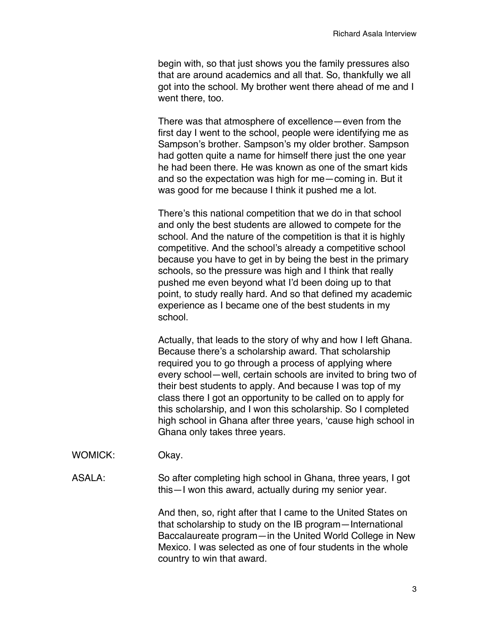begin with, so that just shows you the family pressures also that are around academics and all that. So, thankfully we all got into the school. My brother went there ahead of me and I went there, too.

There was that atmosphere of excellence—even from the first day I went to the school, people were identifying me as Sampson's brother. Sampson's my older brother. Sampson had gotten quite a name for himself there just the one year he had been there. He was known as one of the smart kids and so the expectation was high for me—coming in. But it was good for me because I think it pushed me a lot.

There's this national competition that we do in that school and only the best students are allowed to compete for the school. And the nature of the competition is that it is highly competitive. And the school's already a competitive school because you have to get in by being the best in the primary schools, so the pressure was high and I think that really pushed me even beyond what I'd been doing up to that point, to study really hard. And so that defined my academic experience as I became one of the best students in my school.

Actually, that leads to the story of why and how I left Ghana. Because there's a scholarship award. That scholarship required you to go through a process of applying where every school—well, certain schools are invited to bring two of their best students to apply. And because I was top of my class there I got an opportunity to be called on to apply for this scholarship, and I won this scholarship. So I completed high school in Ghana after three years, 'cause high school in Ghana only takes three years.

WOMICK: Okay.

ASALA: So after completing high school in Ghana, three years, I got this—I won this award, actually during my senior year.

> And then, so, right after that I came to the United States on that scholarship to study on the IB program—International Baccalaureate program—in the United World College in New Mexico. I was selected as one of four students in the whole country to win that award.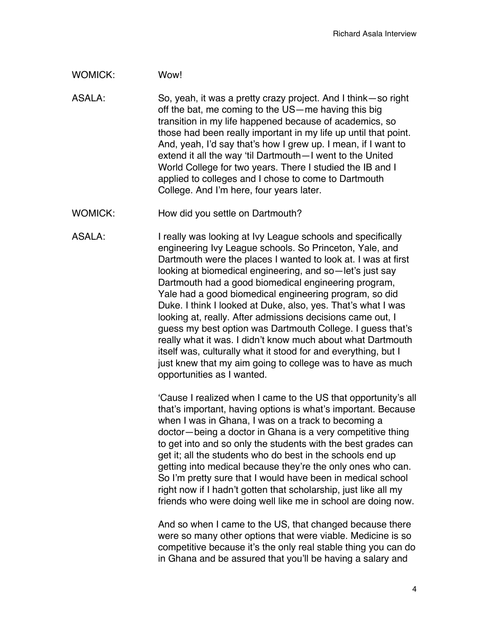### WOMICK: Wow!

ASALA: So, yeah, it was a pretty crazy project. And I think—so right off the bat, me coming to the US—me having this big transition in my life happened because of academics, so those had been really important in my life up until that point. And, yeah, I'd say that's how I grew up. I mean, if I want to extend it all the way 'til Dartmouth—I went to the United World College for two years. There I studied the IB and I applied to colleges and I chose to come to Dartmouth College. And I'm here, four years later.

WOMICK: How did you settle on Dartmouth?

ASALA: I really was looking at Ivy League schools and specifically engineering Ivy League schools. So Princeton, Yale, and Dartmouth were the places I wanted to look at. I was at first looking at biomedical engineering, and so—let's just say Dartmouth had a good biomedical engineering program, Yale had a good biomedical engineering program, so did Duke. I think I looked at Duke, also, yes. That's what I was looking at, really. After admissions decisions came out, I guess my best option was Dartmouth College. I guess that's really what it was. I didn't know much about what Dartmouth itself was, culturally what it stood for and everything, but I just knew that my aim going to college was to have as much opportunities as I wanted.

> 'Cause I realized when I came to the US that opportunity's all that's important, having options is what's important. Because when I was in Ghana, I was on a track to becoming a doctor—being a doctor in Ghana is a very competitive thing to get into and so only the students with the best grades can get it; all the students who do best in the schools end up getting into medical because they're the only ones who can. So I'm pretty sure that I would have been in medical school right now if I hadn't gotten that scholarship, just like all my friends who were doing well like me in school are doing now.

> And so when I came to the US, that changed because there were so many other options that were viable. Medicine is so competitive because it's the only real stable thing you can do in Ghana and be assured that you'll be having a salary and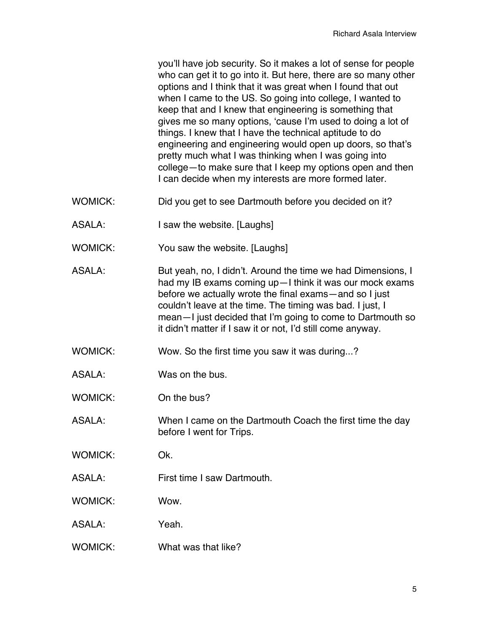you'll have job security. So it makes a lot of sense for people who can get it to go into it. But here, there are so many other options and I think that it was great when I found that out when I came to the US. So going into college, I wanted to keep that and I knew that engineering is something that gives me so many options, 'cause I'm used to doing a lot of things. I knew that I have the technical aptitude to do engineering and engineering would open up doors, so that's pretty much what I was thinking when I was going into college—to make sure that I keep my options open and then I can decide when my interests are more formed later.

- WOMICK: Did you get to see Dartmouth before you decided on it?
- ASALA: I saw the website. [Laughs]
- WOMICK: You saw the website. [Laughs]
- ASALA: But yeah, no, I didn't. Around the time we had Dimensions, I had my IB exams coming up—I think it was our mock exams before we actually wrote the final exams—and so I just couldn't leave at the time. The timing was bad. I just, I mean—I just decided that I'm going to come to Dartmouth so it didn't matter if I saw it or not, I'd still come anyway.
- WOMICK: Wow. So the first time you saw it was during...?
- ASALA: Was on the bus.
- WOMICK: On the bus?
- ASALA: When I came on the Dartmouth Coach the first time the day before I went for Trips.
- WOMICK: Ok.
- ASALA: First time I saw Dartmouth.
- WOMICK: Wow.
- ASALA: Yeah.
- WOMICK: What was that like?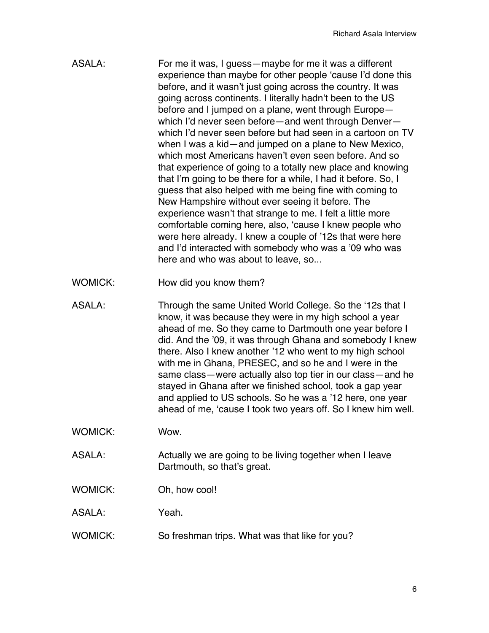- ASALA: For me it was, I guess—maybe for me it was a different experience than maybe for other people 'cause I'd done this before, and it wasn't just going across the country. It was going across continents. I literally hadn't been to the US before and I jumped on a plane, went through Europe which I'd never seen before—and went through Denver which I'd never seen before but had seen in a cartoon on TV when I was a kid—and jumped on a plane to New Mexico, which most Americans haven't even seen before. And so that experience of going to a totally new place and knowing that I'm going to be there for a while, I had it before. So, I guess that also helped with me being fine with coming to New Hampshire without ever seeing it before. The experience wasn't that strange to me. I felt a little more comfortable coming here, also, 'cause I knew people who were here already. I knew a couple of '12s that were here and I'd interacted with somebody who was a '09 who was here and who was about to leave, so...
- WOMICK: How did you know them?
- ASALA: Through the same United World College. So the '12s that I know, it was because they were in my high school a year ahead of me. So they came to Dartmouth one year before I did. And the '09, it was through Ghana and somebody I knew there. Also I knew another '12 who went to my high school with me in Ghana, PRESEC, and so he and I were in the same class—were actually also top tier in our class—and he stayed in Ghana after we finished school, took a gap year and applied to US schools. So he was a '12 here, one year ahead of me, 'cause I took two years off. So I knew him well.
- WOMICK: Wow.
- ASALA: Actually we are going to be living together when I leave Dartmouth, so that's great.
- WOMICK: Oh, how cool!

ASALA: Yeah.

WOMICK: So freshman trips. What was that like for you?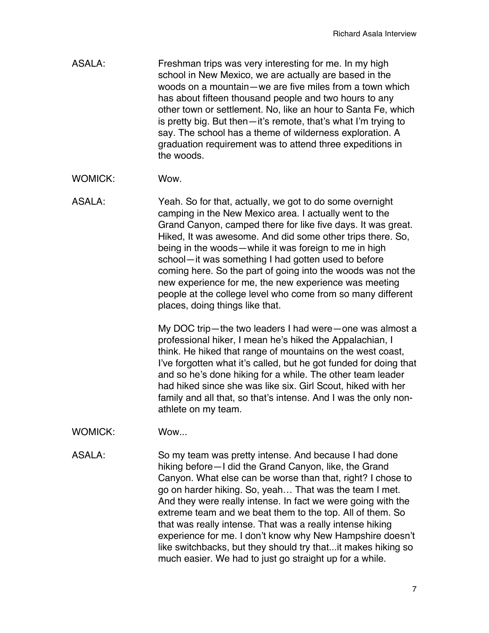- ASALA: Freshman trips was very interesting for me. In my high school in New Mexico, we are actually are based in the woods on a mountain—we are five miles from a town which has about fifteen thousand people and two hours to any other town or settlement. No, like an hour to Santa Fe, which is pretty big. But then—it's remote, that's what I'm trying to say. The school has a theme of wilderness exploration. A graduation requirement was to attend three expeditions in the woods.
- WOMICK: Wow.
- ASALA: Yeah. So for that, actually, we got to do some overnight camping in the New Mexico area. I actually went to the Grand Canyon, camped there for like five days. It was great. Hiked, It was awesome. And did some other trips there. So, being in the woods—while it was foreign to me in high school—it was something I had gotten used to before coming here. So the part of going into the woods was not the new experience for me, the new experience was meeting people at the college level who come from so many different places, doing things like that.

My DOC trip—the two leaders I had were—one was almost a professional hiker, I mean he's hiked the Appalachian, I think. He hiked that range of mountains on the west coast, I've forgotten what it's called, but he got funded for doing that and so he's done hiking for a while. The other team leader had hiked since she was like six. Girl Scout, hiked with her family and all that, so that's intense. And I was the only nonathlete on my team.

- WOMICK: Wow...
- ASALA: So my team was pretty intense. And because I had done hiking before—I did the Grand Canyon, like, the Grand Canyon. What else can be worse than that, right? I chose to go on harder hiking. So, yeah… That was the team I met. And they were really intense. In fact we were going with the extreme team and we beat them to the top. All of them. So that was really intense. That was a really intense hiking experience for me. I don't know why New Hampshire doesn't like switchbacks, but they should try that...it makes hiking so much easier. We had to just go straight up for a while.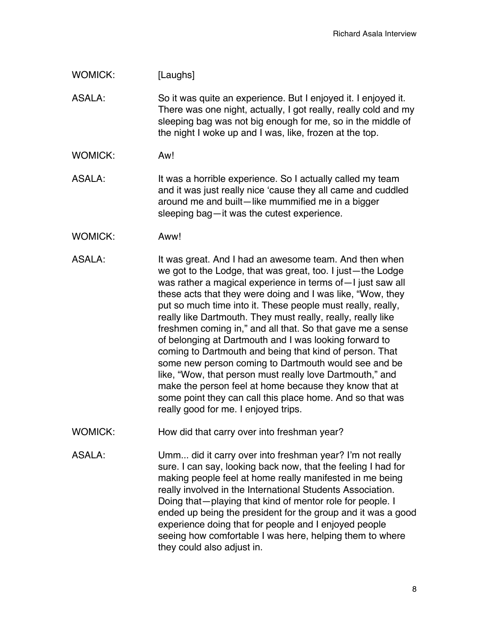### WOMICK: [Laughs]

ASALA: So it was quite an experience. But I enjoyed it. I enjoyed it. There was one night, actually, I got really, really cold and my sleeping bag was not big enough for me, so in the middle of the night I woke up and I was, like, frozen at the top.

- WOMICK: Aw!
- ASALA: It was a horrible experience. So I actually called my team and it was just really nice 'cause they all came and cuddled around me and built—like mummified me in a bigger sleeping bag—it was the cutest experience.
- WOMICK: Aww!
- ASALA: It was great. And I had an awesome team. And then when we got to the Lodge, that was great, too. I just—the Lodge was rather a magical experience in terms of—I just saw all these acts that they were doing and I was like, "Wow, they put so much time into it. These people must really, really, really like Dartmouth. They must really, really, really like freshmen coming in," and all that. So that gave me a sense of belonging at Dartmouth and I was looking forward to coming to Dartmouth and being that kind of person. That some new person coming to Dartmouth would see and be like, "Wow, that person must really love Dartmouth," and make the person feel at home because they know that at some point they can call this place home. And so that was really good for me. I enjoyed trips.
- WOMICK: How did that carry over into freshman year?
- ASALA: Umm... did it carry over into freshman year? I'm not really sure. I can say, looking back now, that the feeling I had for making people feel at home really manifested in me being really involved in the International Students Association. Doing that—playing that kind of mentor role for people. I ended up being the president for the group and it was a good experience doing that for people and I enjoyed people seeing how comfortable I was here, helping them to where they could also adjust in.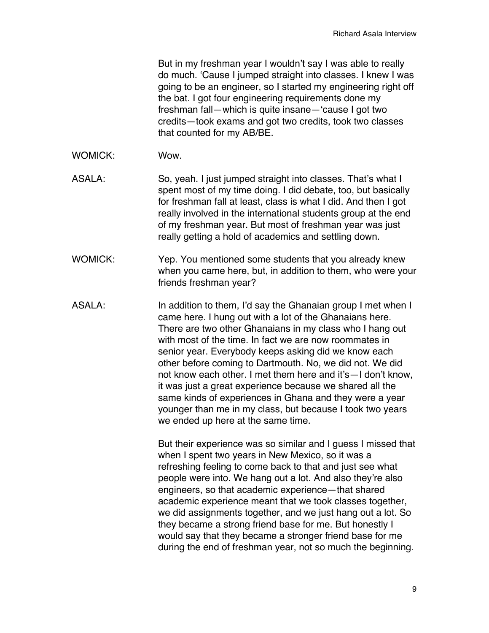But in my freshman year I wouldn't say I was able to really do much. 'Cause I jumped straight into classes. I knew I was going to be an engineer, so I started my engineering right off the bat. I got four engineering requirements done my freshman fall—which is quite insane—'cause I got two credits—took exams and got two credits, took two classes that counted for my AB/BE.

- WOMICK: Wow.
- ASALA: So, yeah. I just jumped straight into classes. That's what I spent most of my time doing. I did debate, too, but basically for freshman fall at least, class is what I did. And then I got really involved in the international students group at the end of my freshman year. But most of freshman year was just really getting a hold of academics and settling down.
- WOMICK: Yep. You mentioned some students that you already knew when you came here, but, in addition to them, who were your friends freshman year?
- ASALA: In addition to them, I'd say the Ghanaian group I met when I came here. I hung out with a lot of the Ghanaians here. There are two other Ghanaians in my class who I hang out with most of the time. In fact we are now roommates in senior year. Everybody keeps asking did we know each other before coming to Dartmouth. No, we did not. We did not know each other. I met them here and it's—I don't know, it was just a great experience because we shared all the same kinds of experiences in Ghana and they were a year younger than me in my class, but because I took two years we ended up here at the same time.

But their experience was so similar and I guess I missed that when I spent two years in New Mexico, so it was a refreshing feeling to come back to that and just see what people were into. We hang out a lot. And also they're also engineers, so that academic experience—that shared academic experience meant that we took classes together, we did assignments together, and we just hang out a lot. So they became a strong friend base for me. But honestly I would say that they became a stronger friend base for me during the end of freshman year, not so much the beginning.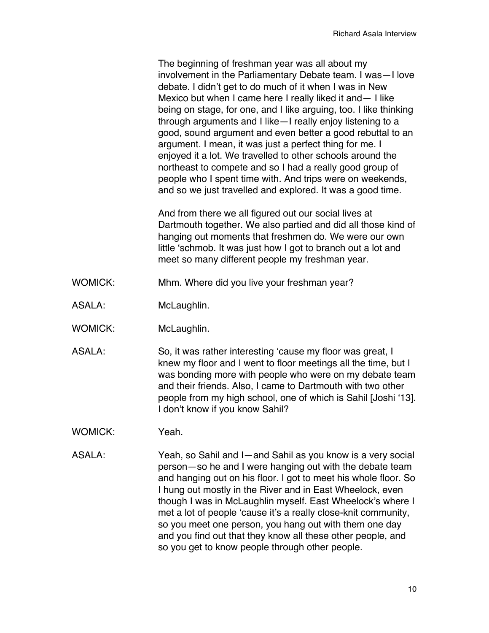The beginning of freshman year was all about my involvement in the Parliamentary Debate team. I was—I love debate. I didn't get to do much of it when I was in New Mexico but when I came here I really liked it and— I like being on stage, for one, and I like arguing, too. I like thinking through arguments and I like—I really enjoy listening to a good, sound argument and even better a good rebuttal to an argument. I mean, it was just a perfect thing for me. I enjoyed it a lot. We travelled to other schools around the northeast to compete and so I had a really good group of people who I spent time with. And trips were on weekends, and so we just travelled and explored. It was a good time.

And from there we all figured out our social lives at Dartmouth together. We also partied and did all those kind of hanging out moments that freshmen do. We were our own little 'schmob. It was just how I got to branch out a lot and meet so many different people my freshman year.

- WOMICK: Mhm. Where did you live your freshman year?
- ASALA: McLaughlin.
- WOMICK: McLaughlin.
- ASALA: So, it was rather interesting 'cause my floor was great, I knew my floor and I went to floor meetings all the time, but I was bonding more with people who were on my debate team and their friends. Also, I came to Dartmouth with two other people from my high school, one of which is Sahil [Joshi '13]. I don't know if you know Sahil?
- WOMICK: Yeah.
- ASALA: Yeah, so Sahil and I—and Sahil as you know is a very social person—so he and I were hanging out with the debate team and hanging out on his floor. I got to meet his whole floor. So I hung out mostly in the River and in East Wheelock, even though I was in McLaughlin myself. East Wheelock's where I met a lot of people 'cause it's a really close-knit community, so you meet one person, you hang out with them one day and you find out that they know all these other people, and so you get to know people through other people.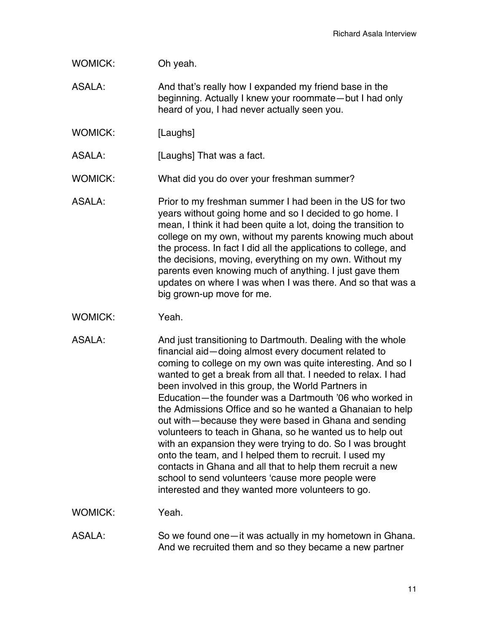## WOMICK: Oh yeah.

- ASALA: And that's really how I expanded my friend base in the beginning. Actually I knew your roommate—but I had only heard of you, I had never actually seen you.
- WOMICK: [Laughs]
- ASALA: [Laughs] That was a fact.
- WOMICK: What did you do over your freshman summer?
- ASALA: Prior to my freshman summer I had been in the US for two years without going home and so I decided to go home. I mean, I think it had been quite a lot, doing the transition to college on my own, without my parents knowing much about the process. In fact I did all the applications to college, and the decisions, moving, everything on my own. Without my parents even knowing much of anything. I just gave them updates on where I was when I was there. And so that was a big grown-up move for me.
- WOMICK: Yeah
- ASALA: And just transitioning to Dartmouth. Dealing with the whole financial aid—doing almost every document related to coming to college on my own was quite interesting. And so I wanted to get a break from all that. I needed to relax. I had been involved in this group, the World Partners in Education—the founder was a Dartmouth '06 who worked in the Admissions Office and so he wanted a Ghanaian to help out with—because they were based in Ghana and sending volunteers to teach in Ghana, so he wanted us to help out with an expansion they were trying to do. So I was brought onto the team, and I helped them to recruit. I used my contacts in Ghana and all that to help them recruit a new school to send volunteers 'cause more people were interested and they wanted more volunteers to go.

WOMICK: Yeah.

ASALA: So we found one—it was actually in my hometown in Ghana. And we recruited them and so they became a new partner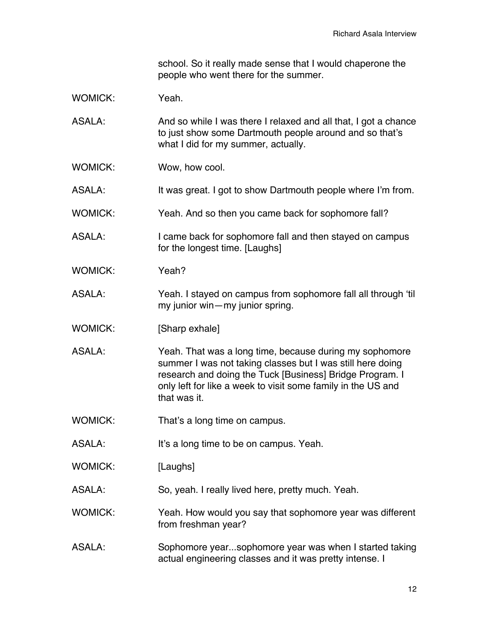school. So it really made sense that I would chaperone the people who went there for the summer.

WOMICK: Yeah

ASALA: And so while I was there I relaxed and all that, I got a chance to just show some Dartmouth people around and so that's what I did for my summer, actually.

WOMICK: Wow, how cool.

ASALA: It was great. I got to show Dartmouth people where I'm from.

WOMICK: Yeah. And so then you came back for sophomore fall?

- ASALA: I came back for sophomore fall and then stayed on campus for the longest time. [Laughs]
- WOMICK: Yeah?
- ASALA: Yeah. I stayed on campus from sophomore fall all through 'til my junior win—my junior spring.
- WOMICK: [Sharp exhale]
- ASALA: Yeah. That was a long time, because during my sophomore summer I was not taking classes but I was still here doing research and doing the Tuck [Business] Bridge Program. I only left for like a week to visit some family in the US and that was it.
- WOMICK: That's a long time on campus.
- ASALA: It's a long time to be on campus. Yeah.

WOMICK: [Laughs]

ASALA: So, yeah. I really lived here, pretty much. Yeah.

WOMICK: Yeah. How would you say that sophomore year was different from freshman year?

ASALA: Sophomore year...sophomore year was when I started taking actual engineering classes and it was pretty intense. I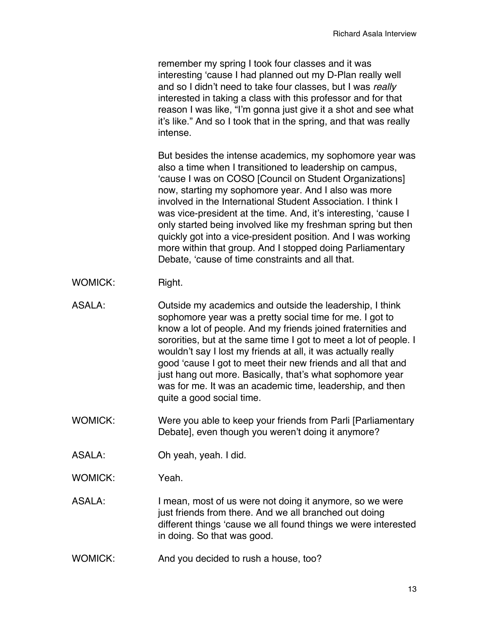remember my spring I took four classes and it was interesting 'cause I had planned out my D-Plan really well and so I didn't need to take four classes, but I was *really* interested in taking a class with this professor and for that reason I was like, "I'm gonna just give it a shot and see what it's like." And so I took that in the spring, and that was really intense.

But besides the intense academics, my sophomore year was also a time when I transitioned to leadership on campus, 'cause I was on COSO [Council on Student Organizations] now, starting my sophomore year. And I also was more involved in the International Student Association. I think I was vice-president at the time. And, it's interesting, 'cause I only started being involved like my freshman spring but then quickly got into a vice-president position. And I was working more within that group. And I stopped doing Parliamentary Debate, 'cause of time constraints and all that.

- WOMICK: Right.
- ASALA: Outside my academics and outside the leadership, I think sophomore year was a pretty social time for me. I got to know a lot of people. And my friends joined fraternities and sororities, but at the same time I got to meet a lot of people. I wouldn't say I lost my friends at all, it was actually really good 'cause I got to meet their new friends and all that and just hang out more. Basically, that's what sophomore year was for me. It was an academic time, leadership, and then quite a good social time.
- WOMICK: Were you able to keep your friends from Parli [Parliamentary Debate], even though you weren't doing it anymore?
- ASALA: Oh yeah, yeah. I did.
- WOMICK: Yeah.
- ASALA: I mean, most of us were not doing it anymore, so we were just friends from there. And we all branched out doing different things 'cause we all found things we were interested in doing. So that was good.
- WOMICK: And you decided to rush a house, too?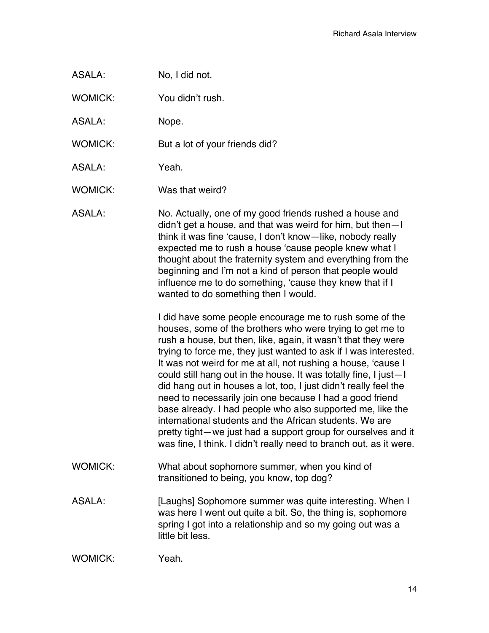| ASALA: | No, I did not. |
|--------|----------------|
|--------|----------------|

WOMICK: You didn't rush.

ASALA: Nope.

WOMICK: But a lot of your friends did?

ASALA: Yeah.

WOMICK: Was that weird?

ASALA: No. Actually, one of my good friends rushed a house and didn't get a house, and that was weird for him, but then—I think it was fine 'cause, I don't know—like, nobody really expected me to rush a house 'cause people knew what I thought about the fraternity system and everything from the beginning and I'm not a kind of person that people would influence me to do something, 'cause they knew that if I wanted to do something then I would.

> I did have some people encourage me to rush some of the houses, some of the brothers who were trying to get me to rush a house, but then, like, again, it wasn't that they were trying to force me, they just wanted to ask if I was interested. It was not weird for me at all, not rushing a house, 'cause I could still hang out in the house. It was totally fine, I just—I did hang out in houses a lot, too, I just didn't really feel the need to necessarily join one because I had a good friend base already. I had people who also supported me, like the international students and the African students. We are pretty tight—we just had a support group for ourselves and it was fine, I think. I didn't really need to branch out, as it were.

- WOMICK: What about sophomore summer, when you kind of transitioned to being, you know, top dog?
- ASALA: [Laughs] Sophomore summer was quite interesting. When I was here I went out quite a bit. So, the thing is, sophomore spring I got into a relationship and so my going out was a little bit less.

WOMICK: Yeah.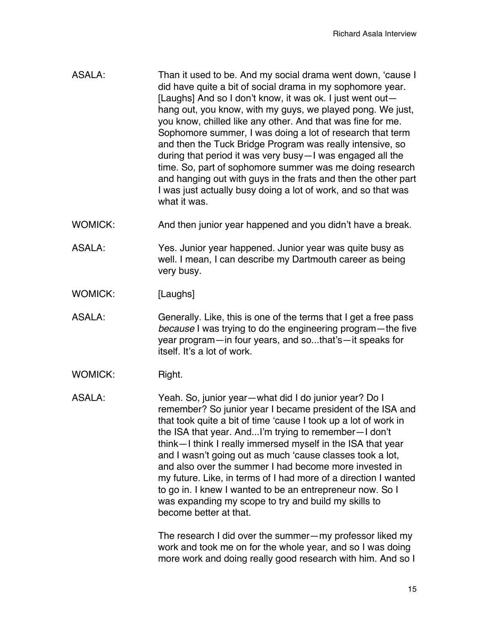- ASALA: Than it used to be. And my social drama went down, 'cause I did have quite a bit of social drama in my sophomore year. [Laughs] And so I don't know, it was ok. I just went out hang out, you know, with my guys, we played pong. We just, you know, chilled like any other. And that was fine for me. Sophomore summer, I was doing a lot of research that term and then the Tuck Bridge Program was really intensive, so during that period it was very busy—I was engaged all the time. So, part of sophomore summer was me doing research and hanging out with guys in the frats and then the other part I was just actually busy doing a lot of work, and so that was what it was.
- WOMICK: And then junior year happened and you didn't have a break.
- ASALA: Yes. Junior year happened. Junior year was quite busy as well. I mean, I can describe my Dartmouth career as being very busy.
- WOMICK: [Laughs]
- ASALA: Generally. Like, this is one of the terms that I get a free pass *because* I was trying to do the engineering program—the five year program—in four years, and so...that's—it speaks for itself. It's a lot of work.
- WOMICK: Right.

ASALA: Yeah. So, junior year—what did I do junior year? Do I remember? So junior year I became president of the ISA and that took quite a bit of time 'cause I took up a lot of work in the ISA that year. And...I'm trying to remember—I don't think—I think I really immersed myself in the ISA that year and I wasn't going out as much 'cause classes took a lot, and also over the summer I had become more invested in my future. Like, in terms of I had more of a direction I wanted to go in. I knew I wanted to be an entrepreneur now. So I was expanding my scope to try and build my skills to become better at that.

> The research I did over the summer—my professor liked my work and took me on for the whole year, and so I was doing more work and doing really good research with him. And so I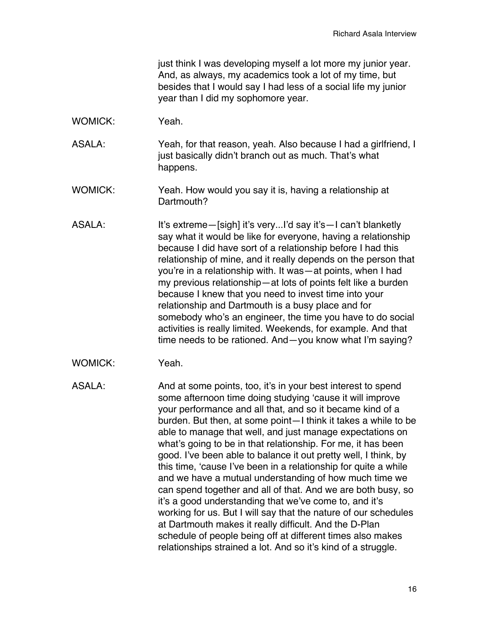just think I was developing myself a lot more my junior year. And, as always, my academics took a lot of my time, but besides that I would say I had less of a social life my junior year than I did my sophomore year.

- WOMICK: Yeah.
- ASALA: Yeah, for that reason, yeah. Also because I had a girlfriend, I just basically didn't branch out as much. That's what happens.
- WOMICK: Yeah. How would you say it is, having a relationship at Dartmouth?
- ASALA: It's extreme—[sigh] it's very...I'd say it's—I can't blanketly say what it would be like for everyone, having a relationship because I did have sort of a relationship before I had this relationship of mine, and it really depends on the person that you're in a relationship with. It was—at points, when I had my previous relationship—at lots of points felt like a burden because I knew that you need to invest time into your relationship and Dartmouth is a busy place and for somebody who's an engineer, the time you have to do social activities is really limited. Weekends, for example. And that time needs to be rationed. And—you know what I'm saying?
- WOMICK: Yeah.
- ASALA: And at some points, too, it's in your best interest to spend some afternoon time doing studying 'cause it will improve your performance and all that, and so it became kind of a burden. But then, at some point—I think it takes a while to be able to manage that well, and just manage expectations on what's going to be in that relationship. For me, it has been good. I've been able to balance it out pretty well, I think, by this time, 'cause I've been in a relationship for quite a while and we have a mutual understanding of how much time we can spend together and all of that. And we are both busy, so it's a good understanding that we've come to, and it's working for us. But I will say that the nature of our schedules at Dartmouth makes it really difficult. And the D-Plan schedule of people being off at different times also makes relationships strained a lot. And so it's kind of a struggle.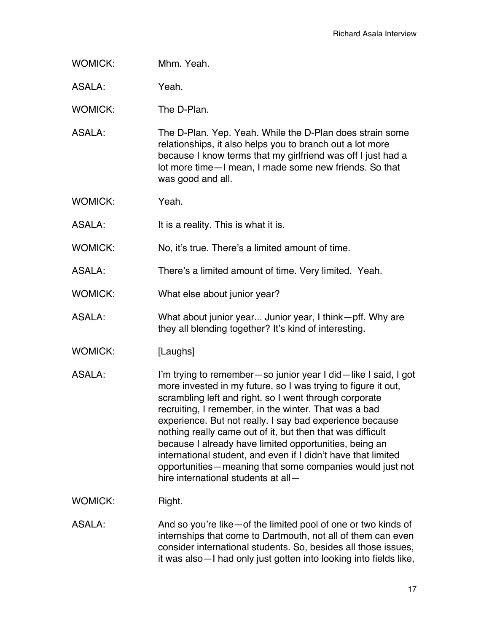WOMICK: Mhm. Yeah.

ASALA: Yeah.

WOMICK: The D-Plan.

- ASALA: The D-Plan. Yep. Yeah. While the D-Plan does strain some relationships, it also helps you to branch out a lot more because I know terms that my girlfriend was off I just had a lot more time—I mean, I made some new friends. So that was good and all.
- WOMICK: Yeah.

ASALA: It is a reality. This is what it is.

WOMICK: No, it's true. There's a limited amount of time.

ASALA: There's a limited amount of time. Very limited. Yeah.

- WOMICK: What else about junior year?
- ASALA: What about junior year... Junior year, I think—pff. Why are they all blending together? It's kind of interesting.
- WOMICK: [Laughs]
- ASALA: I'm trying to remember—so junior year I did—like I said, I got more invested in my future, so I was trying to figure it out, scrambling left and right, so I went through corporate recruiting, I remember, in the winter. That was a bad experience. But not really. I say bad experience because nothing really came out of it, but then that was difficult because I already have limited opportunities, being an international student, and even if I didn't have that limited opportunities—meaning that some companies would just not hire international students at all—
- WOMICK: Right.
- ASALA: And so you're like of the limited pool of one or two kinds of internships that come to Dartmouth, not all of them can even consider international students. So, besides all those issues, it was also—I had only just gotten into looking into fields like,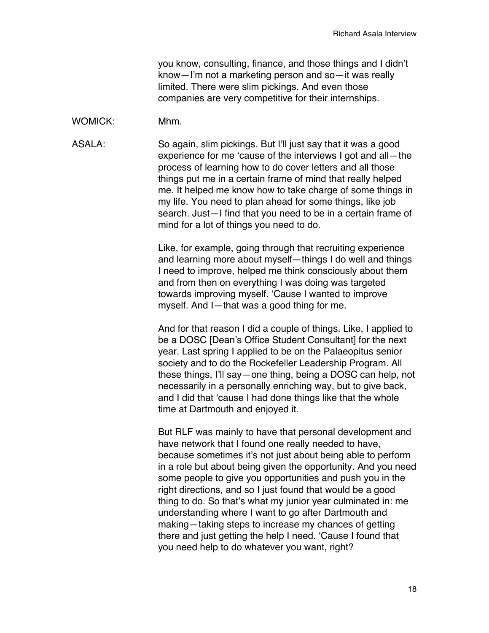you know, consulting, finance, and those things and I didn't know—I'm not a marketing person and so—it was really limited. There were slim pickings. And even those companies are very competitive for their internships.

#### WOMICK: Mhm.

ASALA: So again, slim pickings. But I'll just say that it was a good experience for me 'cause of the interviews I got and all—the process of learning how to do cover letters and all those things put me in a certain frame of mind that really helped me. It helped me know how to take charge of some things in my life. You need to plan ahead for some things, like job search. Just—I find that you need to be in a certain frame of mind for a lot of things you need to do.

> Like, for example, going through that recruiting experience and learning more about myself—things I do well and things I need to improve, helped me think consciously about them and from then on everything I was doing was targeted towards improving myself. 'Cause I wanted to improve myself. And I—that was a good thing for me.

And for that reason I did a couple of things. Like, I applied to be a DOSC [Dean's Office Student Consultant] for the next year. Last spring I applied to be on the Palaeopitus senior society and to do the Rockefeller Leadership Program. All these things, I'll say—one thing, being a DOSC can help, not necessarily in a personally enriching way, but to give back, and I did that 'cause I had done things like that the whole time at Dartmouth and enjoyed it.

But RLF was mainly to have that personal development and have network that I found one really needed to have, because sometimes it's not just about being able to perform in a role but about being given the opportunity. And you need some people to give you opportunities and push you in the right directions, and so I just found that would be a good thing to do. So that's what my junior year culminated in: me understanding where I want to go after Dartmouth and making—taking steps to increase my chances of getting there and just getting the help I need. 'Cause I found that you need help to do whatever you want, right?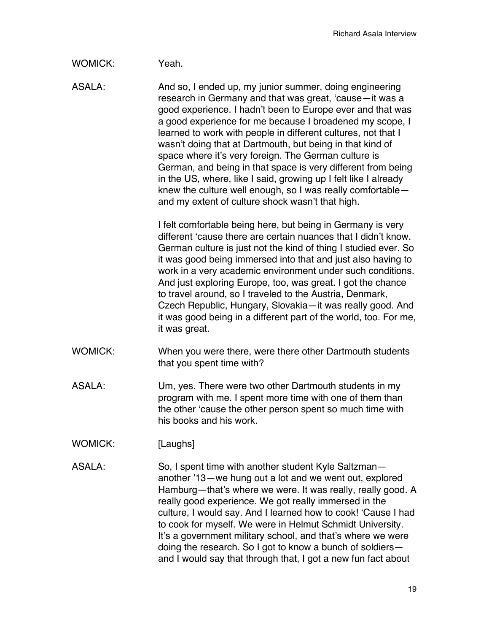### WOMICK: Yeah.

ASALA: And so, I ended up, my junior summer, doing engineering research in Germany and that was great, 'cause—it was a good experience. I hadn't been to Europe ever and that was a good experience for me because I broadened my scope, I learned to work with people in different cultures, not that I wasn't doing that at Dartmouth, but being in that kind of space where it's very foreign. The German culture is German, and being in that space is very different from being in the US, where, like I said, growing up I felt like I already knew the culture well enough, so I was really comfortable and my extent of culture shock wasn't that high.

> I felt comfortable being here, but being in Germany is very different 'cause there are certain nuances that I didn't know. German culture is just not the kind of thing I studied ever. So it was good being immersed into that and just also having to work in a very academic environment under such conditions. And just exploring Europe, too, was great. I got the chance to travel around, so I traveled to the Austria, Denmark, Czech Republic, Hungary, Slovakia—it was really good. And it was good being in a different part of the world, too. For me, it was great.

- WOMICK: When you were there, were there other Dartmouth students that you spent time with?
- ASALA: Um, yes. There were two other Dartmouth students in my program with me. I spent more time with one of them than the other 'cause the other person spent so much time with his books and his work.
- WOMICK: [Laughs]
- ASALA: So, I spent time with another student Kyle Saltzman another '13—we hung out a lot and we went out, explored Hamburg—that's where we were. It was really, really good. A really good experience. We got really immersed in the culture, I would say. And I learned how to cook! 'Cause I had to cook for myself. We were in Helmut Schmidt University. It's a government military school, and that's where we were doing the research. So I got to know a bunch of soldiers and I would say that through that, I got a new fun fact about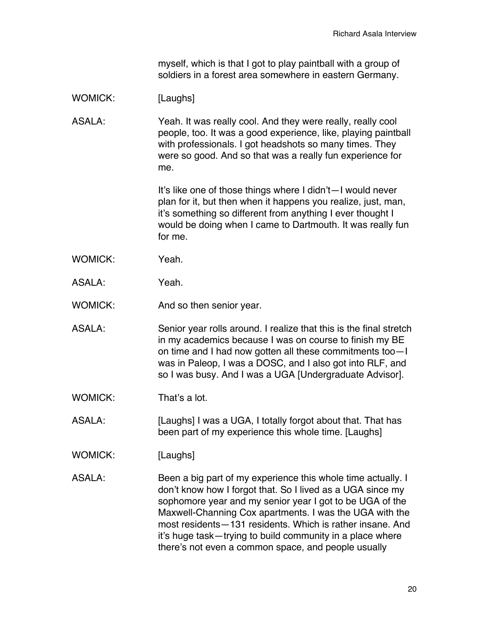myself, which is that I got to play paintball with a group of soldiers in a forest area somewhere in eastern Germany.

# WOMICK: [Laughs]

ASALA: Yeah. It was really cool. And they were really, really cool people, too. It was a good experience, like, playing paintball with professionals. I got headshots so many times. They were so good. And so that was a really fun experience for me.

> It's like one of those things where I didn't—I would never plan for it, but then when it happens you realize, just, man, it's something so different from anything I ever thought I would be doing when I came to Dartmouth. It was really fun for me.

- WOMICK: Yeah.
- ASALA: Yeah.
- WOMICK: And so then senior year.
- ASALA: Senior year rolls around. I realize that this is the final stretch in my academics because I was on course to finish my BE on time and I had now gotten all these commitments too—I was in Paleop, I was a DOSC, and I also got into RLF, and so I was busy. And I was a UGA [Undergraduate Advisor].
- WOMICK: That's a lot.
- ASALA: [Laughs] I was a UGA, I totally forgot about that. That has been part of my experience this whole time. [Laughs]
- WOMICK: [Laughs]
- ASALA: Been a big part of my experience this whole time actually. I don't know how I forgot that. So I lived as a UGA since my sophomore year and my senior year I got to be UGA of the Maxwell-Channing Cox apartments. I was the UGA with the most residents—131 residents. Which is rather insane. And it's huge task—trying to build community in a place where there's not even a common space, and people usually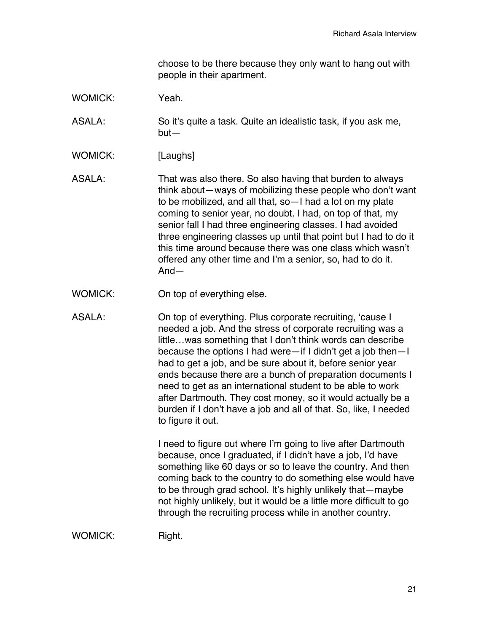choose to be there because they only want to hang out with people in their apartment.

WOMICK: Yeah

ASALA: So it's quite a task. Quite an idealistic task, if you ask me, but—

- WOMICK: [Laughs]
- ASALA: That was also there. So also having that burden to always think about—ways of mobilizing these people who don't want to be mobilized, and all that, so—I had a lot on my plate coming to senior year, no doubt. I had, on top of that, my senior fall I had three engineering classes. I had avoided three engineering classes up until that point but I had to do it this time around because there was one class which wasn't offered any other time and I'm a senior, so, had to do it. And—
- WOMICK: On top of everything else.

ASALA: On top of everything. Plus corporate recruiting, 'cause I needed a job. And the stress of corporate recruiting was a little…was something that I don't think words can describe because the options I had were—if I didn't get a job then—I had to get a job, and be sure about it, before senior year ends because there are a bunch of preparation documents I need to get as an international student to be able to work after Dartmouth. They cost money, so it would actually be a burden if I don't have a job and all of that. So, like, I needed to figure it out.

> I need to figure out where I'm going to live after Dartmouth because, once I graduated, if I didn't have a job, I'd have something like 60 days or so to leave the country. And then coming back to the country to do something else would have to be through grad school. It's highly unlikely that—maybe not highly unlikely, but it would be a little more difficult to go through the recruiting process while in another country.

WOMICK: Right.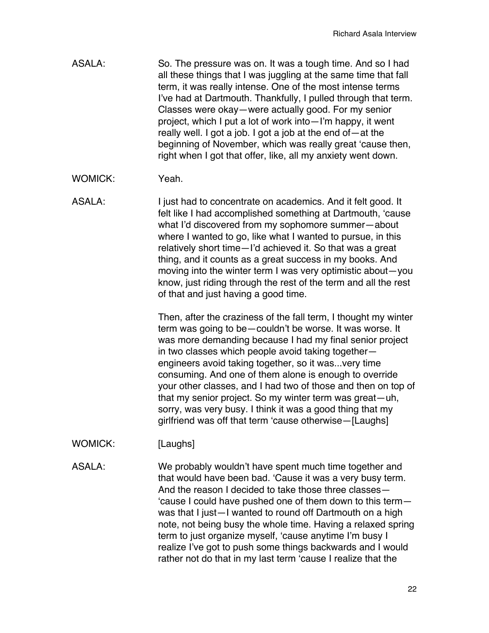- ASALA: So. The pressure was on. It was a tough time. And so I had all these things that I was juggling at the same time that fall term, it was really intense. One of the most intense terms I've had at Dartmouth. Thankfully, I pulled through that term. Classes were okay—were actually good. For my senior project, which I put a lot of work into—I'm happy, it went really well. I got a job. I got a job at the end of—at the beginning of November, which was really great 'cause then, right when I got that offer, like, all my anxiety went down.
- WOMICK: Yeah.
- ASALA: I just had to concentrate on academics. And it felt good. It felt like I had accomplished something at Dartmouth, 'cause what I'd discovered from my sophomore summer—about where I wanted to go, like what I wanted to pursue, in this relatively short time—I'd achieved it. So that was a great thing, and it counts as a great success in my books. And moving into the winter term I was very optimistic about—you know, just riding through the rest of the term and all the rest of that and just having a good time.

Then, after the craziness of the fall term, I thought my winter term was going to be—couldn't be worse. It was worse. It was more demanding because I had my final senior project in two classes which people avoid taking together engineers avoid taking together, so it was...very time consuming. And one of them alone is enough to override your other classes, and I had two of those and then on top of that my senior project. So my winter term was great—uh, sorry, was very busy. I think it was a good thing that my girlfriend was off that term 'cause otherwise—[Laughs]

WOMICK: [Laughs]

ASALA: We probably wouldn't have spent much time together and that would have been bad. 'Cause it was a very busy term. And the reason I decided to take those three classes— 'cause I could have pushed one of them down to this term was that I just—I wanted to round off Dartmouth on a high note, not being busy the whole time. Having a relaxed spring term to just organize myself, 'cause anytime I'm busy I realize I've got to push some things backwards and I would rather not do that in my last term 'cause I realize that the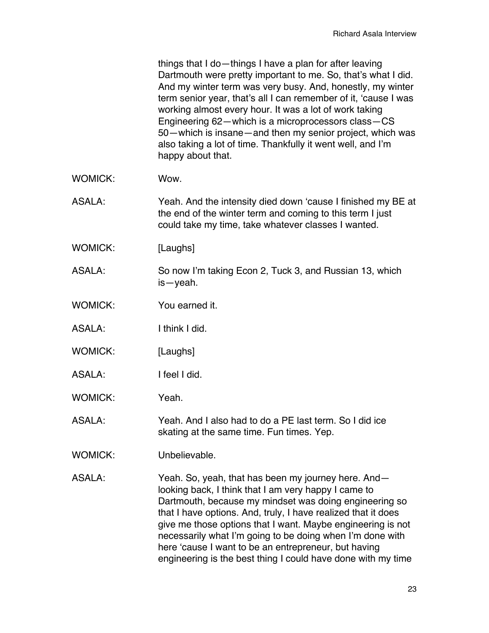things that I do—things I have a plan for after leaving Dartmouth were pretty important to me. So, that's what I did. And my winter term was very busy. And, honestly, my winter term senior year, that's all I can remember of it, 'cause I was working almost every hour. It was a lot of work taking Engineering 62—which is a microprocessors class—CS 50—which is insane—and then my senior project, which was also taking a lot of time. Thankfully it went well, and I'm happy about that.

- WOMICK: Wow.
- ASALA: Yeah. And the intensity died down 'cause I finished my BE at the end of the winter term and coming to this term I just could take my time, take whatever classes I wanted.
- WOMICK: [Laughs]
- ASALA: So now I'm taking Econ 2, Tuck 3, and Russian 13, which is—yeah.
- WOMICK: You earned it.
- ASALA: I think I did.
- WOMICK: [Laughs]
- ASALA: I feel I did.
- WOMICK: Yeah.
- ASALA: Yeah. And I also had to do a PE last term. So I did ice skating at the same time. Fun times. Yep.
- WOMICK: Unbelievable.
- ASALA: Yeah. So, yeah, that has been my journey here. And looking back, I think that I am very happy I came to Dartmouth, because my mindset was doing engineering so that I have options. And, truly, I have realized that it does give me those options that I want. Maybe engineering is not necessarily what I'm going to be doing when I'm done with here 'cause I want to be an entrepreneur, but having engineering is the best thing I could have done with my time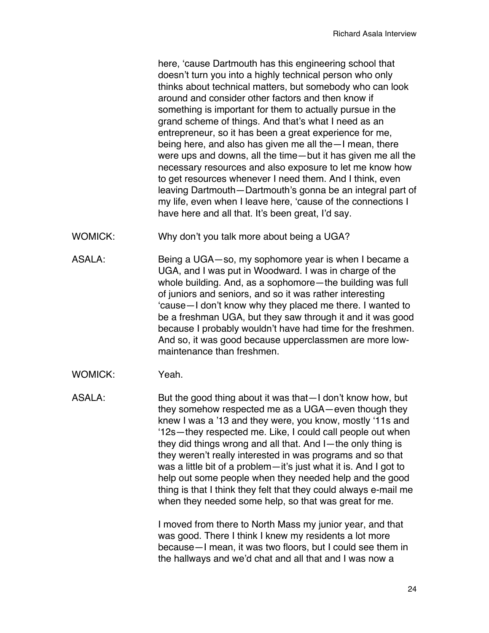here, 'cause Dartmouth has this engineering school that doesn't turn you into a highly technical person who only thinks about technical matters, but somebody who can look around and consider other factors and then know if something is important for them to actually pursue in the grand scheme of things. And that's what I need as an entrepreneur, so it has been a great experience for me, being here, and also has given me all the—I mean, there were ups and downs, all the time—but it has given me all the necessary resources and also exposure to let me know how to get resources whenever I need them. And I think, even leaving Dartmouth—Dartmouth's gonna be an integral part of my life, even when I leave here, 'cause of the connections I have here and all that. It's been great, I'd say.

- WOMICK: Why don't you talk more about being a UGA?
- ASALA: Being a UGA—so, my sophomore year is when I became a UGA, and I was put in Woodward. I was in charge of the whole building. And, as a sophomore—the building was full of juniors and seniors, and so it was rather interesting 'cause—I don't know why they placed me there. I wanted to be a freshman UGA, but they saw through it and it was good because I probably wouldn't have had time for the freshmen. And so, it was good because upperclassmen are more lowmaintenance than freshmen.
- WOMICK: Yeah.

ASALA: But the good thing about it was that—I don't know how, but they somehow respected me as a UGA—even though they knew I was a '13 and they were, you know, mostly '11s and '12s—they respected me. Like, I could call people out when they did things wrong and all that. And I—the only thing is they weren't really interested in was programs and so that was a little bit of a problem—it's just what it is. And I got to help out some people when they needed help and the good thing is that I think they felt that they could always e-mail me when they needed some help, so that was great for me.

> I moved from there to North Mass my junior year, and that was good. There I think I knew my residents a lot more because—I mean, it was two floors, but I could see them in the hallways and we'd chat and all that and I was now a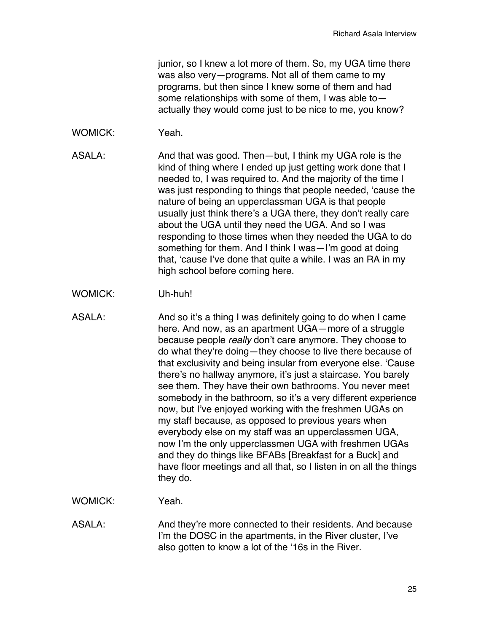junior, so I knew a lot more of them. So, my UGA time there was also very—programs. Not all of them came to my programs, but then since I knew some of them and had some relationships with some of them, I was able to actually they would come just to be nice to me, you know?

WOMICK: Yeah.

ASALA: And that was good. Then—but, I think my UGA role is the kind of thing where I ended up just getting work done that I needed to, I was required to. And the majority of the time I was just responding to things that people needed, 'cause the nature of being an upperclassman UGA is that people usually just think there's a UGA there, they don't really care about the UGA until they need the UGA. And so I was responding to those times when they needed the UGA to do something for them. And I think I was—I'm good at doing that, 'cause I've done that quite a while. I was an RA in my high school before coming here.

- WOMICK: Uh-huh!
- ASALA: And so it's a thing I was definitely going to do when I came here. And now, as an apartment UGA—more of a struggle because people *really* don't care anymore. They choose to do what they're doing—they choose to live there because of that exclusivity and being insular from everyone else. 'Cause there's no hallway anymore, it's just a staircase. You barely see them. They have their own bathrooms. You never meet somebody in the bathroom, so it's a very different experience now, but I've enjoyed working with the freshmen UGAs on my staff because, as opposed to previous years when everybody else on my staff was an upperclassmen UGA, now I'm the only upperclassmen UGA with freshmen UGAs and they do things like BFABs [Breakfast for a Buck] and have floor meetings and all that, so I listen in on all the things they do.
- WOMICK: Yeah.
- ASALA: And they're more connected to their residents. And because I'm the DOSC in the apartments, in the River cluster, I've also gotten to know a lot of the '16s in the River.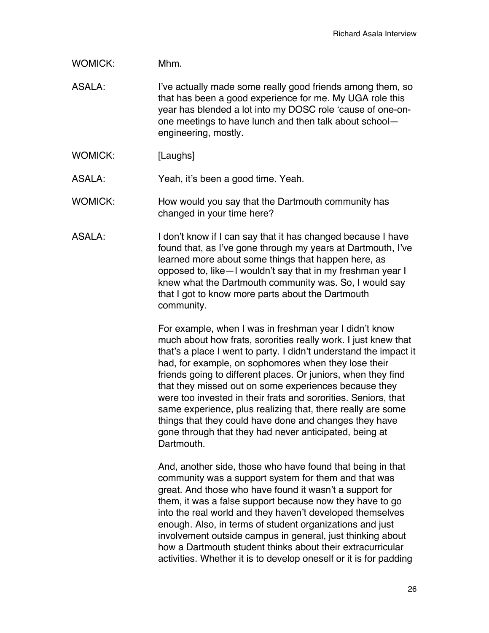WOMICK: Mhm.

ASALA: I've actually made some really good friends among them, so that has been a good experience for me. My UGA role this year has blended a lot into my DOSC role 'cause of one-onone meetings to have lunch and then talk about school engineering, mostly.

WOMICK: [Laughs]

ASALA: Yeah, it's been a good time. Yeah.

WOMICK: How would you say that the Dartmouth community has changed in your time here?

ASALA: I don't know if I can say that it has changed because I have found that, as I've gone through my years at Dartmouth, I've learned more about some things that happen here, as opposed to, like—I wouldn't say that in my freshman year I knew what the Dartmouth community was. So, I would say that I got to know more parts about the Dartmouth community.

> For example, when I was in freshman year I didn't know much about how frats, sororities really work. I just knew that that's a place I went to party. I didn't understand the impact it had, for example, on sophomores when they lose their friends going to different places. Or juniors, when they find that they missed out on some experiences because they were too invested in their frats and sororities. Seniors, that same experience, plus realizing that, there really are some things that they could have done and changes they have gone through that they had never anticipated, being at Dartmouth.

And, another side, those who have found that being in that community was a support system for them and that was great. And those who have found it wasn't a support for them, it was a false support because now they have to go into the real world and they haven't developed themselves enough. Also, in terms of student organizations and just involvement outside campus in general, just thinking about how a Dartmouth student thinks about their extracurricular activities. Whether it is to develop oneself or it is for padding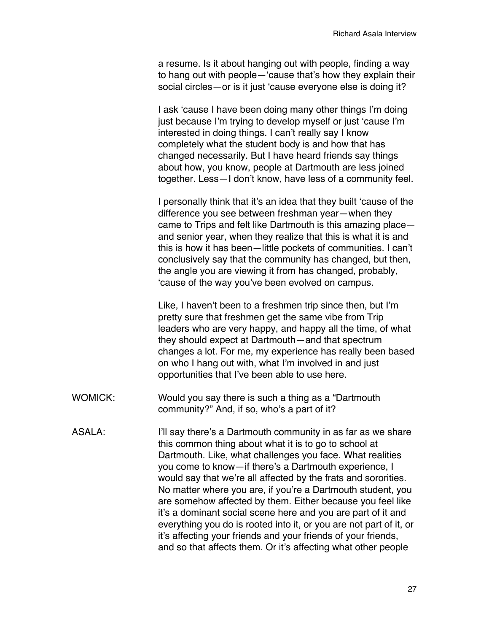a resume. Is it about hanging out with people, finding a way to hang out with people—'cause that's how they explain their social circles—or is it just 'cause everyone else is doing it?

I ask 'cause I have been doing many other things I'm doing just because I'm trying to develop myself or just 'cause I'm interested in doing things. I can't really say I know completely what the student body is and how that has changed necessarily. But I have heard friends say things about how, you know, people at Dartmouth are less joined together. Less—I don't know, have less of a community feel.

I personally think that it's an idea that they built 'cause of the difference you see between freshman year—when they came to Trips and felt like Dartmouth is this amazing place and senior year, when they realize that this is what it is and this is how it has been—little pockets of communities. I can't conclusively say that the community has changed, but then, the angle you are viewing it from has changed, probably, 'cause of the way you've been evolved on campus.

Like, I haven't been to a freshmen trip since then, but I'm pretty sure that freshmen get the same vibe from Trip leaders who are very happy, and happy all the time, of what they should expect at Dartmouth—and that spectrum changes a lot. For me, my experience has really been based on who I hang out with, what I'm involved in and just opportunities that I've been able to use here.

- WOMICK: Would you say there is such a thing as a "Dartmouth community?" And, if so, who's a part of it?
- ASALA: I'll say there's a Dartmouth community in as far as we share this common thing about what it is to go to school at Dartmouth. Like, what challenges you face. What realities you come to know—if there's a Dartmouth experience, I would say that we're all affected by the frats and sororities. No matter where you are, if you're a Dartmouth student, you are somehow affected by them. Either because you feel like it's a dominant social scene here and you are part of it and everything you do is rooted into it, or you are not part of it, or it's affecting your friends and your friends of your friends, and so that affects them. Or it's affecting what other people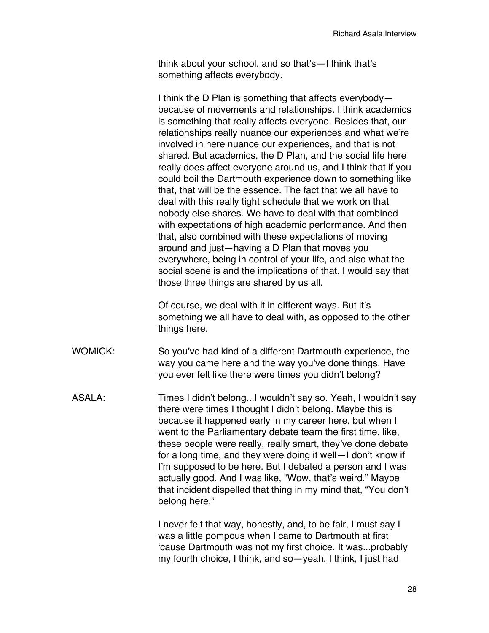think about your school, and so that's—I think that's something affects everybody.

I think the D Plan is something that affects everybody because of movements and relationships. I think academics is something that really affects everyone. Besides that, our relationships really nuance our experiences and what we're involved in here nuance our experiences, and that is not shared. But academics, the D Plan, and the social life here really does affect everyone around us, and I think that if you could boil the Dartmouth experience down to something like that, that will be the essence. The fact that we all have to deal with this really tight schedule that we work on that nobody else shares. We have to deal with that combined with expectations of high academic performance. And then that, also combined with these expectations of moving around and just—having a D Plan that moves you everywhere, being in control of your life, and also what the social scene is and the implications of that. I would say that those three things are shared by us all.

Of course, we deal with it in different ways. But it's something we all have to deal with, as opposed to the other things here.

- WOMICK: So you've had kind of a different Dartmouth experience, the way you came here and the way you've done things. Have you ever felt like there were times you didn't belong?
- ASALA: Times I didn't belong...I wouldn't say so. Yeah, I wouldn't say there were times I thought I didn't belong. Maybe this is because it happened early in my career here, but when I went to the Parliamentary debate team the first time, like, these people were really, really smart, they've done debate for a long time, and they were doing it well—I don't know if I'm supposed to be here. But I debated a person and I was actually good. And I was like, "Wow, that's weird." Maybe that incident dispelled that thing in my mind that, "You don't belong here."

I never felt that way, honestly, and, to be fair, I must say I was a little pompous when I came to Dartmouth at first 'cause Dartmouth was not my first choice. It was...probably my fourth choice, I think, and so—yeah, I think, I just had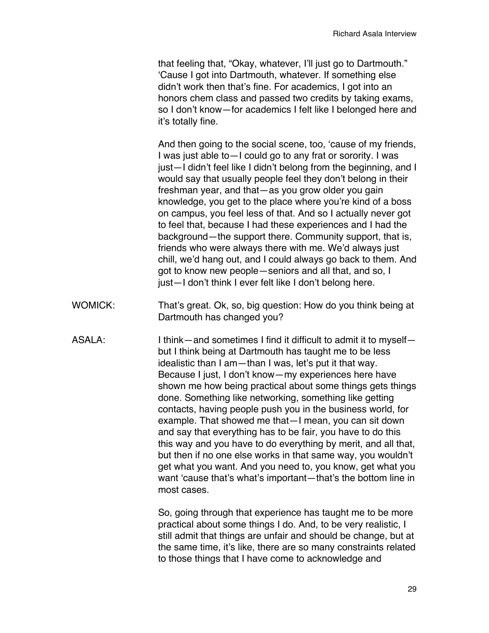that feeling that, "Okay, whatever, I'll just go to Dartmouth." 'Cause I got into Dartmouth, whatever. If something else didn't work then that's fine. For academics, I got into an honors chem class and passed two credits by taking exams, so I don't know—for academics I felt like I belonged here and it's totally fine.

And then going to the social scene, too, 'cause of my friends, I was just able to—I could go to any frat or sorority. I was just—I didn't feel like I didn't belong from the beginning, and I would say that usually people feel they don't belong in their freshman year, and that—as you grow older you gain knowledge, you get to the place where you're kind of a boss on campus, you feel less of that. And so I actually never got to feel that, because I had these experiences and I had the background—the support there. Community support, that is, friends who were always there with me. We'd always just chill, we'd hang out, and I could always go back to them. And got to know new people—seniors and all that, and so, I just—I don't think I ever felt like I don't belong here.

- WOMICK: That's great. Ok, so, big question: How do you think being at Dartmouth has changed you?
- ASALA: I think—and sometimes I find it difficult to admit it to myself but I think being at Dartmouth has taught me to be less idealistic than I am—than I was, let's put it that way. Because I just, I don't know—my experiences here have shown me how being practical about some things gets things done. Something like networking, something like getting contacts, having people push you in the business world, for example. That showed me that—I mean, you can sit down and say that everything has to be fair, you have to do this this way and you have to do everything by merit, and all that, but then if no one else works in that same way, you wouldn't get what you want. And you need to, you know, get what you want 'cause that's what's important—that's the bottom line in most cases.

So, going through that experience has taught me to be more practical about some things I do. And, to be very realistic, I still admit that things are unfair and should be change, but at the same time, it's like, there are so many constraints related to those things that I have come to acknowledge and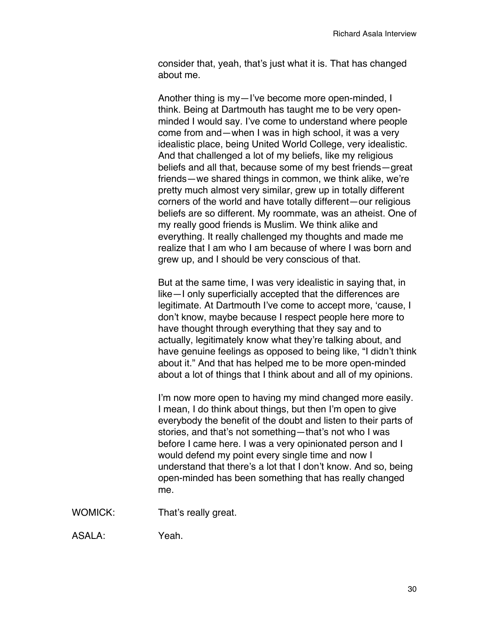consider that, yeah, that's just what it is. That has changed about me.

Another thing is my—I've become more open-minded, I think. Being at Dartmouth has taught me to be very openminded I would say. I've come to understand where people come from and—when I was in high school, it was a very idealistic place, being United World College, very idealistic. And that challenged a lot of my beliefs, like my religious beliefs and all that, because some of my best friends—great friends—we shared things in common, we think alike, we're pretty much almost very similar, grew up in totally different corners of the world and have totally different—our religious beliefs are so different. My roommate, was an atheist. One of my really good friends is Muslim. We think alike and everything. It really challenged my thoughts and made me realize that I am who I am because of where I was born and grew up, and I should be very conscious of that.

But at the same time, I was very idealistic in saying that, in like—I only superficially accepted that the differences are legitimate. At Dartmouth I've come to accept more, 'cause, I don't know, maybe because I respect people here more to have thought through everything that they say and to actually, legitimately know what they're talking about, and have genuine feelings as opposed to being like, "I didn't think about it." And that has helped me to be more open-minded about a lot of things that I think about and all of my opinions.

I'm now more open to having my mind changed more easily. I mean, I do think about things, but then I'm open to give everybody the benefit of the doubt and listen to their parts of stories, and that's not something—that's not who I was before I came here. I was a very opinionated person and I would defend my point every single time and now I understand that there's a lot that I don't know. And so, being open-minded has been something that has really changed me.

WOMICK: That's really great.

ASALA: Yeah.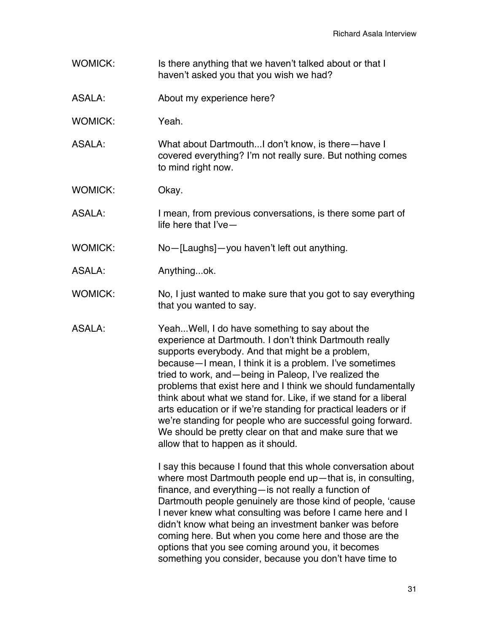- WOMICK: Is there anything that we haven't talked about or that I haven't asked you that you wish we had?
- ASALA: About my experience here?
- WOMICK: Yeah.
- ASALA: What about Dartmouth...I don't know, is there—have I covered everything? I'm not really sure. But nothing comes to mind right now.
- WOMICK: Okay.
- ASALA: I mean, from previous conversations, is there some part of life here that I've—
- WOMICK: No—[Laughs]—you haven't left out anything.
- ASALA: Anything...ok.
- WOMICK: No, I just wanted to make sure that you got to say everything that you wanted to say.
- ASALA: Yeah...Well, I do have something to say about the experience at Dartmouth. I don't think Dartmouth really supports everybody. And that might be a problem, because—I mean, I think it is a problem. I've sometimes tried to work, and—being in Paleop, I've realized the problems that exist here and I think we should fundamentally think about what we stand for. Like, if we stand for a liberal arts education or if we're standing for practical leaders or if we're standing for people who are successful going forward. We should be pretty clear on that and make sure that we allow that to happen as it should.

I say this because I found that this whole conversation about where most Dartmouth people end up—that is, in consulting, finance, and everything—is not really a function of Dartmouth people genuinely are those kind of people, 'cause I never knew what consulting was before I came here and I didn't know what being an investment banker was before coming here. But when you come here and those are the options that you see coming around you, it becomes something you consider, because you don't have time to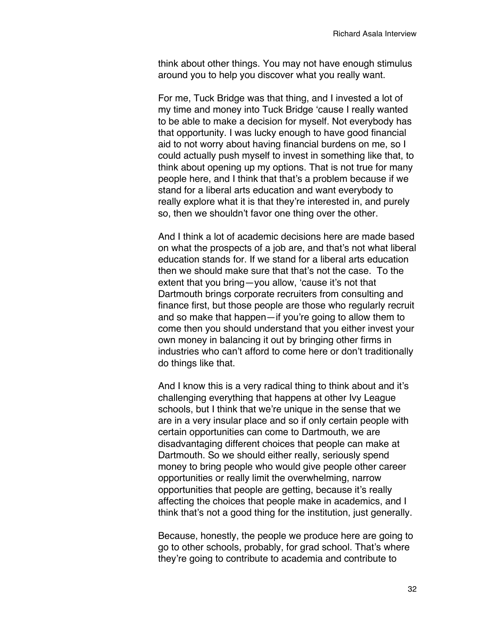think about other things. You may not have enough stimulus around you to help you discover what you really want.

For me, Tuck Bridge was that thing, and I invested a lot of my time and money into Tuck Bridge 'cause I really wanted to be able to make a decision for myself. Not everybody has that opportunity. I was lucky enough to have good financial aid to not worry about having financial burdens on me, so I could actually push myself to invest in something like that, to think about opening up my options. That is not true for many people here, and I think that that's a problem because if we stand for a liberal arts education and want everybody to really explore what it is that they're interested in, and purely so, then we shouldn't favor one thing over the other.

And I think a lot of academic decisions here are made based on what the prospects of a job are, and that's not what liberal education stands for. If we stand for a liberal arts education then we should make sure that that's not the case. To the extent that you bring—you allow, 'cause it's not that Dartmouth brings corporate recruiters from consulting and finance first, but those people are those who regularly recruit and so make that happen—if you're going to allow them to come then you should understand that you either invest your own money in balancing it out by bringing other firms in industries who can't afford to come here or don't traditionally do things like that.

And I know this is a very radical thing to think about and it's challenging everything that happens at other Ivy League schools, but I think that we're unique in the sense that we are in a very insular place and so if only certain people with certain opportunities can come to Dartmouth, we are disadvantaging different choices that people can make at Dartmouth. So we should either really, seriously spend money to bring people who would give people other career opportunities or really limit the overwhelming, narrow opportunities that people are getting, because it's really affecting the choices that people make in academics, and I think that's not a good thing for the institution, just generally.

Because, honestly, the people we produce here are going to go to other schools, probably, for grad school. That's where they're going to contribute to academia and contribute to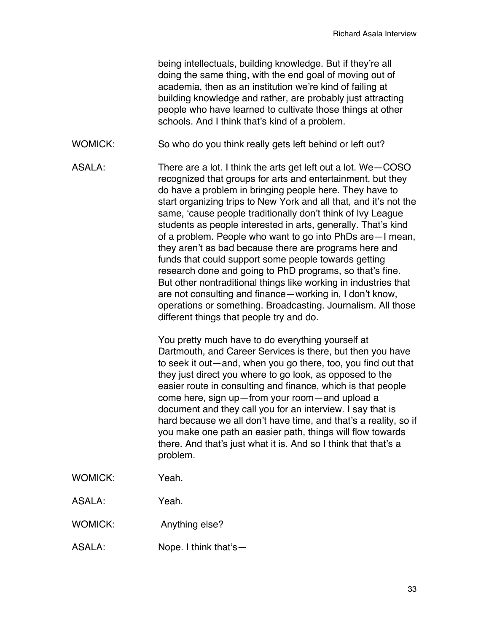being intellectuals, building knowledge. But if they're all doing the same thing, with the end goal of moving out of academia, then as an institution we're kind of failing at building knowledge and rather, are probably just attracting people who have learned to cultivate those things at other schools. And I think that's kind of a problem.

- WOMICK: So who do you think really gets left behind or left out?
- ASALA: There are a lot. I think the arts get left out a lot. We—COSO recognized that groups for arts and entertainment, but they do have a problem in bringing people here. They have to start organizing trips to New York and all that, and it's not the same, 'cause people traditionally don't think of Ivy League students as people interested in arts, generally. That's kind of a problem. People who want to go into PhDs are—I mean, they aren't as bad because there are programs here and funds that could support some people towards getting research done and going to PhD programs, so that's fine. But other nontraditional things like working in industries that are not consulting and finance—working in, I don't know, operations or something. Broadcasting. Journalism. All those different things that people try and do.

You pretty much have to do everything yourself at Dartmouth, and Career Services is there, but then you have to seek it out—and, when you go there, too, you find out that they just direct you where to go look, as opposed to the easier route in consulting and finance, which is that people come here, sign up—from your room—and upload a document and they call you for an interview. I say that is hard because we all don't have time, and that's a reality, so if you make one path an easier path, things will flow towards there. And that's just what it is. And so I think that that's a problem.

- WOMICK: Yeah.
- ASALA: Yeah.
- WOMICK: Anything else?
- ASALA: Nope. I think that's—